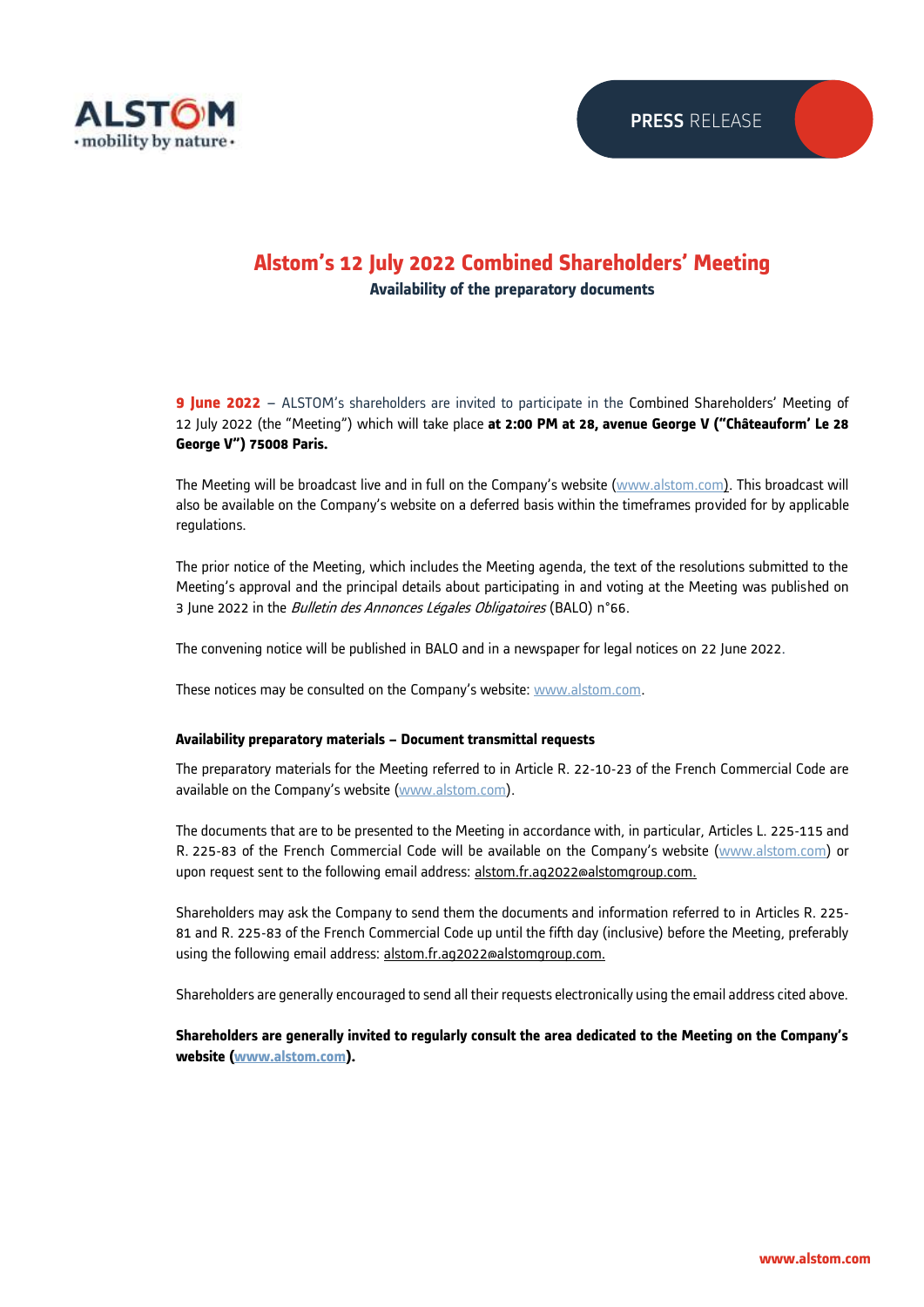

# **Alstom's 12 July 2022 Combined Shareholders' Meeting Availability of the preparatory documents**

**9 June 2022** – ALSTOM's shareholders are invited to participate in the Combined Shareholders' Meeting of 12 July 2022 (the "Meeting") which will take place **at 2:00 PM at 28, avenue George V ("Châteauform' Le 28 George V") 75008 Paris.** 

The Meeting will be broadcast live and in full on the Company's website ([www.alstom.com\)](https://www.alstom.com/combined-shareholders-meeting-12072022). This broadcast will also be available on the Company's website on a deferred basis within the timeframes provided for by applicable regulations.

The prior notice of the Meeting, which includes the Meeting agenda, the text of the resolutions submitted to the Meeting's approval and the principal details about participating in and voting at the Meeting was published on 3 June 2022 in the *Bulletin des Annonces Légales Obligatoires* (BALO) n°66.

The convening notice will be published in BALO and in a newspaper for legal notices on 22 June 2022.

These notices may be consulted on the Company's website: [www.alstom.com.](https://www.alstom.com/combined-shareholders-meeting-12072022)

### **Availability preparatory materials – Document transmittal requests**

The preparatory materials for the Meeting referred to in Article R. 22-10-23 of the French Commercial Code are available on the Company's website [\(www.alstom.com\)](https://www.alstom.com/combined-shareholders-meeting-12072022).

The documents that are to be presented to the Meeting in accordance with, in particular, Articles L. 225-115 and R. 225-83 of the French Commercial Code will be available on the Company's website ([www.alstom.com\)](https://www.alstom.com/combined-shareholders-meeting-12072022) or upon request sent to the following email address: alstom.fr.ag2022@alstomgroup.com.

Shareholders may ask the Company to send them the documents and information referred to in Articles R. 225- 81 and R. 225-83 of the French Commercial Code up until the fifth day (inclusive) before the Meeting, preferably using the following email address: alstom.fr.ag2022@alstomgroup.com.

Shareholders are generally encouraged to send all their requests electronically using the email address cited above.

**Shareholders are generally invited to regularly consult the area dedicated to the Meeting on the Company's website [\(www.alstom.com\)](https://www.alstom.com/combined-shareholders-meeting-12072022).**